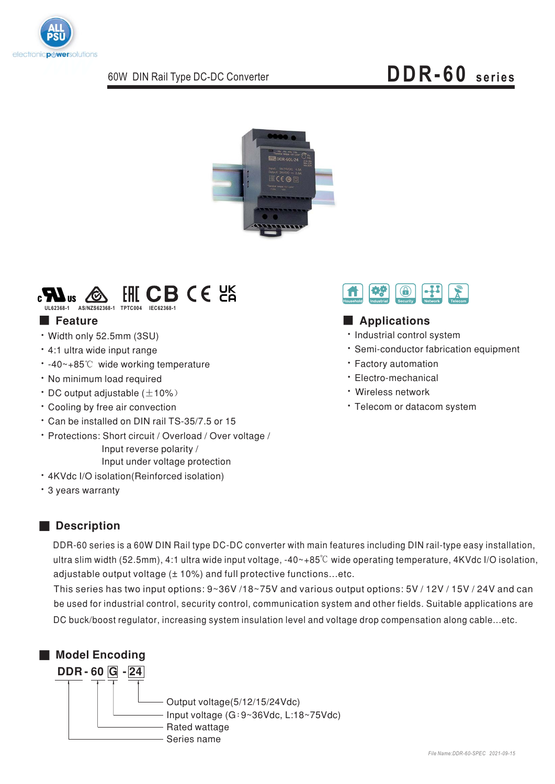

#### 60W DIN Rail Type DC-DC Converter

### DDR-60 series





#### **Execute**

- · Width only 52.5mm (3SU)
- · 4:1 ultra wide input range
- -40~+85℃ wide working temperature
- · No minimum load required
- $\cdot$  DC output adjustable ( $\pm$ 10%)
- \* Cooling by free air convection
- \* Can be installed on DIN rail TS-35/7.5 or 15
- · Protections: Short circuit / Overload / Over voltage / Input reverse polarity / Input under voltage protection
- 4KVdc I/O isolation(Reinforced isolation)
- \* 3 years warranty



DDR-60 series is a 60W DIN Rail type DC-DC converter with main features including DIN rail-type easy installation, ultra slim width (52.5mm), 4:1 ultra wide input voltage, -40~+85°C wide operating temperature, 4KVdc I/O isolation, adjustable output voltage (± 10%) and full protective functions...etc.

This series has two input options: 9~36V/18~75V and various output options: 5V/12V/15V/24V and can be used for industrial control, security control, communication system and other fields. Suitable applications are DC buck/boost regulator, increasing system insulation level and voltage drop compensation along cable...etc.





### Applications

- · Industrial control system
- · Semi-conductor fabrication equipment
- · Factory automation
- · Electro-mechanical
- · Wireless network
- · Telecom or datacom system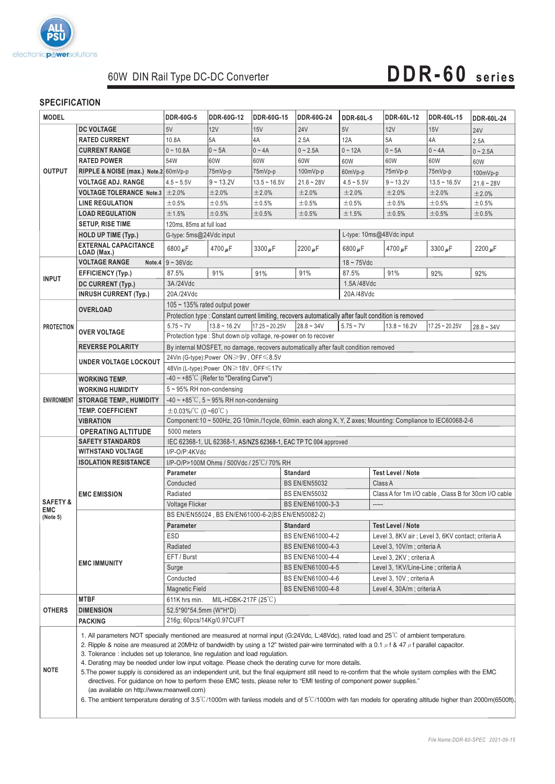

### 60W DIN Rail Type DC-DC Converter

# **DDR-60 series**

#### **SPECIFICATION**

| <b>MODEL</b>                                  |                                                            | <b>DDR-60G-5</b>                                                                                                                                                                                                                                                                                                                                                                                                                                                                                                                                                                                                                                                                                                                                                                                                                                                                                                                                            | DDR-60G-12                                                                          | <b>DDR-60G-15</b>    | <b>DDR-60G-24</b>                                                                                    | <b>DDR-60L-5</b>                                     | <b>DDR-60L-12</b>                                               | <b>DDR-60L-15</b> | <b>DDR-60L-24</b> |  |
|-----------------------------------------------|------------------------------------------------------------|-------------------------------------------------------------------------------------------------------------------------------------------------------------------------------------------------------------------------------------------------------------------------------------------------------------------------------------------------------------------------------------------------------------------------------------------------------------------------------------------------------------------------------------------------------------------------------------------------------------------------------------------------------------------------------------------------------------------------------------------------------------------------------------------------------------------------------------------------------------------------------------------------------------------------------------------------------------|-------------------------------------------------------------------------------------|----------------------|------------------------------------------------------------------------------------------------------|------------------------------------------------------|-----------------------------------------------------------------|-------------------|-------------------|--|
|                                               | <b>DC VOLTAGE</b>                                          | 5V                                                                                                                                                                                                                                                                                                                                                                                                                                                                                                                                                                                                                                                                                                                                                                                                                                                                                                                                                          | 12V                                                                                 | 15V                  | <b>24V</b>                                                                                           | 5V                                                   | 12V                                                             | 15V               | <b>24V</b>        |  |
| <b>OUTPUT</b>                                 | <b>RATED CURRENT</b>                                       | 10.8A                                                                                                                                                                                                                                                                                                                                                                                                                                                                                                                                                                                                                                                                                                                                                                                                                                                                                                                                                       | 5A                                                                                  | 4A                   | 2.5A                                                                                                 | 12A                                                  | 5A                                                              | 4A                | 2.5A              |  |
|                                               | <b>CURRENT RANGE</b>                                       | $0 - 10.8A$                                                                                                                                                                                                                                                                                                                                                                                                                                                                                                                                                                                                                                                                                                                                                                                                                                                                                                                                                 | $0 \sim 5A$                                                                         | $0 - 4A$             | $0 - 2.5A$                                                                                           | $0 - 12A$                                            | $0 - 5A$                                                        | $0 - 4A$          | $0 - 2.5A$        |  |
|                                               | <b>RATED POWER</b>                                         | 54W                                                                                                                                                                                                                                                                                                                                                                                                                                                                                                                                                                                                                                                                                                                                                                                                                                                                                                                                                         | 60W                                                                                 | 60W                  | 60W                                                                                                  | 60W                                                  | 60W                                                             | 60W               | 60W               |  |
|                                               | RIPPLE & NOISE (max.) Note.2 60mVp-p                       |                                                                                                                                                                                                                                                                                                                                                                                                                                                                                                                                                                                                                                                                                                                                                                                                                                                                                                                                                             | 75mVp-p                                                                             | 75mVp-p              | 100mVp-p                                                                                             | 60mVp-p                                              | 75mVp-p                                                         | 75mVp-p           | $100mVp-p$        |  |
|                                               | <b>VOLTAGE ADJ. RANGE</b>                                  | $4.5 - 5.5V$                                                                                                                                                                                                                                                                                                                                                                                                                                                                                                                                                                                                                                                                                                                                                                                                                                                                                                                                                | $9 - 13.2V$                                                                         | $13.5 - 16.5V$       | $21.6 - 28V$                                                                                         | $4.5 - 5.5V$                                         | $9 - 13.2V$                                                     | $13.5 - 16.5V$    | $21.6 - 28V$      |  |
|                                               | <b>VOLTAGE TOLERANCE Note.3</b>                            | ±2.0%                                                                                                                                                                                                                                                                                                                                                                                                                                                                                                                                                                                                                                                                                                                                                                                                                                                                                                                                                       | ±2.0%                                                                               | ±2.0%                | ±2.0%                                                                                                | ±2.0%                                                | ±2.0%                                                           | ±2.0%             | ±2.0%             |  |
|                                               | <b>LINE REGULATION</b>                                     | ±0.5%                                                                                                                                                                                                                                                                                                                                                                                                                                                                                                                                                                                                                                                                                                                                                                                                                                                                                                                                                       | ±0.5%                                                                               | ±0.5%                | ±0.5%                                                                                                | ±0.5%                                                | $\pm 0.5\%$                                                     | $\pm 0.5\%$       | ±0.5%             |  |
|                                               | <b>LOAD REGULATION</b>                                     | ±1.5%                                                                                                                                                                                                                                                                                                                                                                                                                                                                                                                                                                                                                                                                                                                                                                                                                                                                                                                                                       | ±0.5%                                                                               | ±0.5%                | ±0.5%                                                                                                | ±1.5%                                                | ±0.5%                                                           | $\pm 0.5\%$       | $\pm 0.5\%$       |  |
|                                               | <b>SETUP, RISE TIME</b>                                    | 120ms, 85ms at full load                                                                                                                                                                                                                                                                                                                                                                                                                                                                                                                                                                                                                                                                                                                                                                                                                                                                                                                                    |                                                                                     |                      |                                                                                                      |                                                      |                                                                 |                   |                   |  |
|                                               | HOLD UP TIME (Typ.)                                        | L-type: 10ms@48Vdc input<br>G-type: 5ms@24Vdc input                                                                                                                                                                                                                                                                                                                                                                                                                                                                                                                                                                                                                                                                                                                                                                                                                                                                                                         |                                                                                     |                      |                                                                                                      |                                                      |                                                                 |                   |                   |  |
|                                               | <b>EXTERNAL CAPACITANCE</b><br>LOAD (Max.)                 | 6800 <sub>µ</sub> F                                                                                                                                                                                                                                                                                                                                                                                                                                                                                                                                                                                                                                                                                                                                                                                                                                                                                                                                         | 4700 <sub>µF</sub>                                                                  | 3300 <sub>µF</sub>   | 2200 µF                                                                                              | 6800 <sub>µF</sub>                                   | 4700 <sub>µ</sub> F                                             | 3300 µF           | 2200 µF           |  |
|                                               | <b>VOLTAGE RANGE</b>                                       | Note.4 $9 - 36$ Vdc                                                                                                                                                                                                                                                                                                                                                                                                                                                                                                                                                                                                                                                                                                                                                                                                                                                                                                                                         |                                                                                     |                      |                                                                                                      | $18 \sim 75$ Vdc                                     |                                                                 |                   |                   |  |
|                                               | <b>EFFICIENCY (Typ.)</b>                                   | 87.5%                                                                                                                                                                                                                                                                                                                                                                                                                                                                                                                                                                                                                                                                                                                                                                                                                                                                                                                                                       | 91%                                                                                 | 91%                  | 91%                                                                                                  | 87.5%                                                | 91%                                                             | 92%               | 92%               |  |
| <b>INPUT</b>                                  | <b>DC CURRENT (Typ.)</b>                                   | 3A/24Vdc                                                                                                                                                                                                                                                                                                                                                                                                                                                                                                                                                                                                                                                                                                                                                                                                                                                                                                                                                    |                                                                                     |                      |                                                                                                      | 1.5A/48Vdc                                           |                                                                 |                   |                   |  |
|                                               | <b>INRUSH CURRENT (Typ.)</b>                               | 20A/24Vdc                                                                                                                                                                                                                                                                                                                                                                                                                                                                                                                                                                                                                                                                                                                                                                                                                                                                                                                                                   | 20A/48Vdc                                                                           |                      |                                                                                                      |                                                      |                                                                 |                   |                   |  |
|                                               | <b>OVERLOAD</b>                                            | $105 \sim 135\%$ rated output power                                                                                                                                                                                                                                                                                                                                                                                                                                                                                                                                                                                                                                                                                                                                                                                                                                                                                                                         |                                                                                     |                      |                                                                                                      |                                                      |                                                                 |                   |                   |  |
|                                               |                                                            |                                                                                                                                                                                                                                                                                                                                                                                                                                                                                                                                                                                                                                                                                                                                                                                                                                                                                                                                                             |                                                                                     |                      | Protection type : Constant current limiting, recovers automatically after fault condition is removed |                                                      |                                                                 |                   |                   |  |
| <b>PROTECTION</b>                             | <b>OVER VOLTAGE</b>                                        | $5.75 - 7V$                                                                                                                                                                                                                                                                                                                                                                                                                                                                                                                                                                                                                                                                                                                                                                                                                                                                                                                                                 | $13.8 - 16.2V$                                                                      | $17.25 - 20.25V$     | $28.8 - 34V$                                                                                         | $5.75 - 7V$                                          | $13.8 - 16.2V$                                                  | $17.25 - 20.25V$  | $28.8 - 34V$      |  |
|                                               |                                                            |                                                                                                                                                                                                                                                                                                                                                                                                                                                                                                                                                                                                                                                                                                                                                                                                                                                                                                                                                             |                                                                                     |                      | Protection type: Shut down o/p voltage, re-power on to recover                                       |                                                      |                                                                 |                   |                   |  |
|                                               | <b>REVERSE POLARITY</b>                                    |                                                                                                                                                                                                                                                                                                                                                                                                                                                                                                                                                                                                                                                                                                                                                                                                                                                                                                                                                             | By internal MOSFET, no damage, recovers automatically after fault condition removed |                      |                                                                                                      |                                                      |                                                                 |                   |                   |  |
|                                               | <b>UNDER VOLTAGE LOCKOUT</b>                               | 24Vin (G-type):Power ON≥9V, OFF ≤8.5V                                                                                                                                                                                                                                                                                                                                                                                                                                                                                                                                                                                                                                                                                                                                                                                                                                                                                                                       |                                                                                     |                      |                                                                                                      |                                                      |                                                                 |                   |                   |  |
|                                               |                                                            | 48Vin (L-type):Power ON≥18V, OFF≤17V                                                                                                                                                                                                                                                                                                                                                                                                                                                                                                                                                                                                                                                                                                                                                                                                                                                                                                                        |                                                                                     |                      |                                                                                                      |                                                      |                                                                 |                   |                   |  |
| <b>ENVIRONMENT</b>                            | <b>WORKING TEMP.</b>                                       | $-40 \sim +85^{\circ}$ (Refer to "Derating Curve")                                                                                                                                                                                                                                                                                                                                                                                                                                                                                                                                                                                                                                                                                                                                                                                                                                                                                                          |                                                                                     |                      |                                                                                                      |                                                      |                                                                 |                   |                   |  |
|                                               | <b>WORKING HUMIDITY</b>                                    | 5~95% RH non-condensing<br>$-40 - 85^{\circ}$ C, 5 ~ 95% RH non-condensing                                                                                                                                                                                                                                                                                                                                                                                                                                                                                                                                                                                                                                                                                                                                                                                                                                                                                  |                                                                                     |                      |                                                                                                      |                                                      |                                                                 |                   |                   |  |
|                                               | <b>STORAGE TEMP., HUMIDITY</b><br><b>TEMP. COEFFICIENT</b> | $\pm$ 0.03%/°C (0~60°C)                                                                                                                                                                                                                                                                                                                                                                                                                                                                                                                                                                                                                                                                                                                                                                                                                                                                                                                                     |                                                                                     |                      |                                                                                                      |                                                      |                                                                 |                   |                   |  |
|                                               | VIBRATION                                                  | Component:10 ~ 500Hz, 2G 10min./1cycle, 60min. each along X, Y, Z axes; Mounting: Compliance to IEC60068-2-6                                                                                                                                                                                                                                                                                                                                                                                                                                                                                                                                                                                                                                                                                                                                                                                                                                                |                                                                                     |                      |                                                                                                      |                                                      |                                                                 |                   |                   |  |
|                                               | <b>OPERATING ALTITUDE</b>                                  | 5000 meters                                                                                                                                                                                                                                                                                                                                                                                                                                                                                                                                                                                                                                                                                                                                                                                                                                                                                                                                                 |                                                                                     |                      |                                                                                                      |                                                      |                                                                 |                   |                   |  |
|                                               | <b>SAFETY STANDARDS</b>                                    | IEC 62368-1, UL 62368-1, AS/NZS 62368-1, EAC TP TC 004 approved                                                                                                                                                                                                                                                                                                                                                                                                                                                                                                                                                                                                                                                                                                                                                                                                                                                                                             |                                                                                     |                      |                                                                                                      |                                                      |                                                                 |                   |                   |  |
|                                               | WITHSTAND VOLTAGE                                          | I/P-O/P:4KVdc                                                                                                                                                                                                                                                                                                                                                                                                                                                                                                                                                                                                                                                                                                                                                                                                                                                                                                                                               |                                                                                     |                      |                                                                                                      |                                                      |                                                                 |                   |                   |  |
|                                               | <b>ISOLATION RESISTANCE</b>                                | I/P-O/P>100M Ohms / 500Vdc / 25°C / 70% RH                                                                                                                                                                                                                                                                                                                                                                                                                                                                                                                                                                                                                                                                                                                                                                                                                                                                                                                  |                                                                                     |                      |                                                                                                      |                                                      |                                                                 |                   |                   |  |
|                                               | <b>EMC EMISSION</b>                                        | <b>Parameter</b>                                                                                                                                                                                                                                                                                                                                                                                                                                                                                                                                                                                                                                                                                                                                                                                                                                                                                                                                            |                                                                                     |                      | <b>Standard</b>                                                                                      |                                                      | <b>Test Level / Note</b>                                        |                   |                   |  |
|                                               |                                                            | Conducted                                                                                                                                                                                                                                                                                                                                                                                                                                                                                                                                                                                                                                                                                                                                                                                                                                                                                                                                                   |                                                                                     |                      | <b>BS EN/EN55032</b>                                                                                 |                                                      | Class A                                                         |                   |                   |  |
| <b>SAFETY &amp;</b><br><b>EMC</b><br>(Note 5) |                                                            | Radiated                                                                                                                                                                                                                                                                                                                                                                                                                                                                                                                                                                                                                                                                                                                                                                                                                                                                                                                                                    |                                                                                     | <b>BS EN/EN55032</b> |                                                                                                      | Class A for 1m I/O cable, Class B for 30cm I/O cable |                                                                 |                   |                   |  |
|                                               |                                                            | <b>Voltage Flicker</b>                                                                                                                                                                                                                                                                                                                                                                                                                                                                                                                                                                                                                                                                                                                                                                                                                                                                                                                                      | BS EN/EN61000-3-3<br>-----                                                          |                      |                                                                                                      |                                                      |                                                                 |                   |                   |  |
|                                               | <b>EMC IMMUNITY</b>                                        | BS EN/EN55024, BS EN/EN61000-6-2(BS EN/EN50082-2)                                                                                                                                                                                                                                                                                                                                                                                                                                                                                                                                                                                                                                                                                                                                                                                                                                                                                                           |                                                                                     |                      |                                                                                                      |                                                      |                                                                 |                   |                   |  |
|                                               |                                                            | Parameter                                                                                                                                                                                                                                                                                                                                                                                                                                                                                                                                                                                                                                                                                                                                                                                                                                                                                                                                                   |                                                                                     |                      | Standard                                                                                             |                                                      | <b>Test Level / Note</b>                                        |                   |                   |  |
|                                               |                                                            | ESD                                                                                                                                                                                                                                                                                                                                                                                                                                                                                                                                                                                                                                                                                                                                                                                                                                                                                                                                                         |                                                                                     |                      | BS EN/EN61000-4-2                                                                                    |                                                      | Level 3, 8KV air ; Level 3, 6KV contact; criteria A             |                   |                   |  |
|                                               |                                                            | Radiated<br>EFT / Burst                                                                                                                                                                                                                                                                                                                                                                                                                                                                                                                                                                                                                                                                                                                                                                                                                                                                                                                                     |                                                                                     |                      | BS EN/EN61000-4-3                                                                                    |                                                      | Level 3, 10V/m; criteria A                                      |                   |                   |  |
|                                               |                                                            |                                                                                                                                                                                                                                                                                                                                                                                                                                                                                                                                                                                                                                                                                                                                                                                                                                                                                                                                                             |                                                                                     |                      | BS EN/EN61000-4-4<br>BS EN/EN61000-4-5                                                               |                                                      | Level 3, 2KV ; criteria A                                       |                   |                   |  |
|                                               |                                                            | Surge<br>Conducted                                                                                                                                                                                                                                                                                                                                                                                                                                                                                                                                                                                                                                                                                                                                                                                                                                                                                                                                          |                                                                                     |                      | BS EN/EN61000-4-6                                                                                    |                                                      | Level 3, 1KV/Line-Line ; criteria A<br>Level 3, 10V; criteria A |                   |                   |  |
|                                               |                                                            | <b>Magnetic Field</b>                                                                                                                                                                                                                                                                                                                                                                                                                                                                                                                                                                                                                                                                                                                                                                                                                                                                                                                                       |                                                                                     |                      | BS EN/EN61000-4-8                                                                                    |                                                      | Level 4, 30A/m; criteria A                                      |                   |                   |  |
|                                               | <b>MTBF</b>                                                | 611K hrs min.<br>MIL-HDBK-217F $(25^{\circ}C)$                                                                                                                                                                                                                                                                                                                                                                                                                                                                                                                                                                                                                                                                                                                                                                                                                                                                                                              |                                                                                     |                      |                                                                                                      |                                                      |                                                                 |                   |                   |  |
| <b>OTHERS</b>                                 | <b>DIMENSION</b>                                           | 52.5*90*54.5mm (W*H*D)                                                                                                                                                                                                                                                                                                                                                                                                                                                                                                                                                                                                                                                                                                                                                                                                                                                                                                                                      |                                                                                     |                      |                                                                                                      |                                                      |                                                                 |                   |                   |  |
|                                               | <b>PACKING</b>                                             | 216g; 60pcs/14Kg/0.97CUFT                                                                                                                                                                                                                                                                                                                                                                                                                                                                                                                                                                                                                                                                                                                                                                                                                                                                                                                                   |                                                                                     |                      |                                                                                                      |                                                      |                                                                 |                   |                   |  |
| <b>NOTE</b>                                   | (as available on http://www.meanwell.com)                  | 1. All parameters NOT specially mentioned are measured at normal input (G:24Vdc, L:48Vdc), rated load and 25°C of ambient temperature.<br>2. Ripple & noise are measured at 20MHz of bandwidth by using a 12" twisted pair-wire terminated with a 0.1 $\mu$ f & 47 $\mu$ f parallel capacitor.<br>3. Tolerance: includes set up tolerance, line regulation and load regulation.<br>4. Derating may be needed under low input voltage. Please check the derating curve for more details.<br>5. The power supply is considered as an independent unit, but the final equipment still need to re-confirm that the whole system complies with the EMC<br>directives. For guidance on how to perform these EMC tests, please refer to "EMI testing of component power supplies."<br>6. The ambient temperature derating of $3.5^{\circ}$ C/1000m with fanless models and of $5^{\circ}$ C/1000m with fan models for operating altitude higher than 2000m(6500ft) |                                                                                     |                      |                                                                                                      |                                                      |                                                                 |                   |                   |  |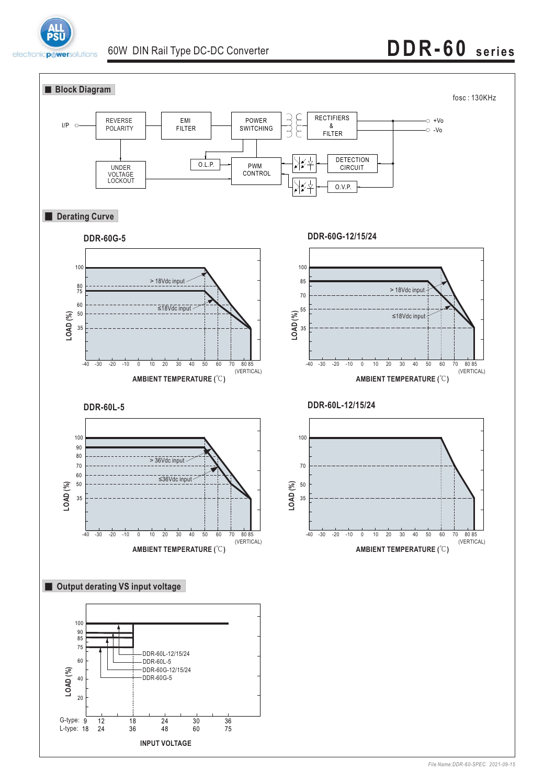

## **DDR-60 series**